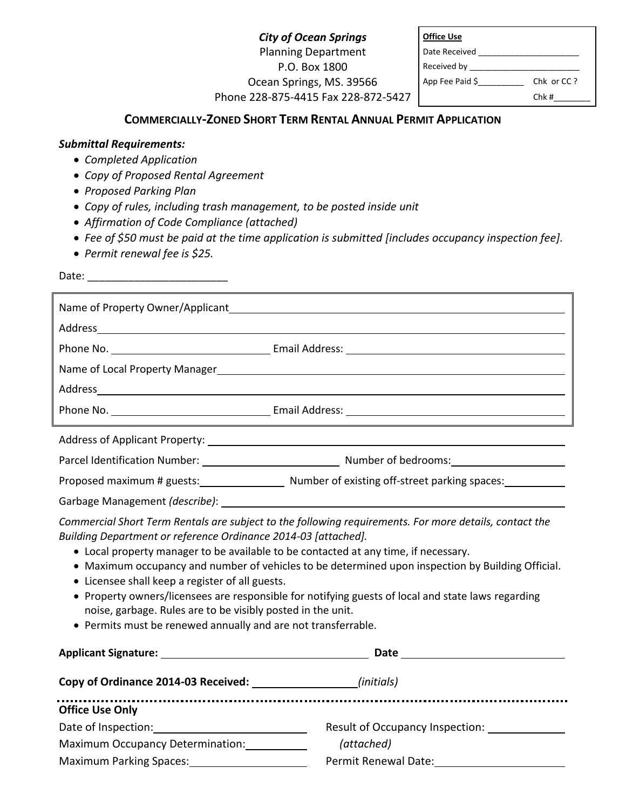*City of Ocean Springs*  Planning Department P.O. Box 1800 Ocean Springs, MS. 39566 Phone 228-875-4415 Fax 228-872-5427

| <b>Office Use</b>    |            |
|----------------------|------------|
| Date Received        |            |
| Received by _______  |            |
| App Fee Paid $\zeta$ | Chk or CC? |
|                      | Chk#       |

# **COMMERCIALLY-ZONED SHORT TERM RENTAL ANNUAL PERMIT APPLICATION**

## *Submittal Requirements:*

- *Completed Application*
- *Copy of Proposed Rental Agreement*
- *Proposed Parking Plan*
- *Copy of rules, including trash management, to be posted inside unit*
- *Affirmation of Code Compliance (attached)*
- *Fee of \$50 must be paid at the time application is submitted [includes occupancy inspection fee].*
- *Permit renewal fee is \$25.*

Date: \_\_\_\_\_\_\_\_\_\_\_\_\_\_\_\_\_\_\_\_\_\_\_\_

|                                                                                                                                                                                                                                                                                                                                                                                                                                                                                                                               | Phone No. 1999 Contract Contract Contract Contract Contract Contract Contract Contract Contract Contract Contract Contract Contract Contract Contract Contract Contract Contract Contract Contract Contract Contract Contract        |  |
|-------------------------------------------------------------------------------------------------------------------------------------------------------------------------------------------------------------------------------------------------------------------------------------------------------------------------------------------------------------------------------------------------------------------------------------------------------------------------------------------------------------------------------|--------------------------------------------------------------------------------------------------------------------------------------------------------------------------------------------------------------------------------------|--|
|                                                                                                                                                                                                                                                                                                                                                                                                                                                                                                                               |                                                                                                                                                                                                                                      |  |
|                                                                                                                                                                                                                                                                                                                                                                                                                                                                                                                               |                                                                                                                                                                                                                                      |  |
|                                                                                                                                                                                                                                                                                                                                                                                                                                                                                                                               |                                                                                                                                                                                                                                      |  |
|                                                                                                                                                                                                                                                                                                                                                                                                                                                                                                                               |                                                                                                                                                                                                                                      |  |
|                                                                                                                                                                                                                                                                                                                                                                                                                                                                                                                               |                                                                                                                                                                                                                                      |  |
|                                                                                                                                                                                                                                                                                                                                                                                                                                                                                                                               | Proposed maximum # guests: Number of existing off-street parking spaces:                                                                                                                                                             |  |
|                                                                                                                                                                                                                                                                                                                                                                                                                                                                                                                               |                                                                                                                                                                                                                                      |  |
| Commercial Short Term Rentals are subject to the following requirements. For more details, contact the<br>Building Department or reference Ordinance 2014-03 [attached].<br>• Local property manager to be available to be contacted at any time, if necessary.<br>• Maximum occupancy and number of vehicles to be determined upon inspection by Building Official.<br>• Licensee shall keep a register of all guests.<br>• Property owners/licensees are responsible for notifying guests of local and state laws regarding |                                                                                                                                                                                                                                      |  |
| noise, garbage. Rules are to be visibly posted in the unit.<br>• Permits must be renewed annually and are not transferrable.                                                                                                                                                                                                                                                                                                                                                                                                  |                                                                                                                                                                                                                                      |  |
|                                                                                                                                                                                                                                                                                                                                                                                                                                                                                                                               | Date <u>such as a series of the series of the series of the series of the series of the series of the series of the series of the series of the series of the series of the series of the series of the series of the series of </u> |  |

| Copy of Ordinance 2014-03 Received: | (initials)                      |
|-------------------------------------|---------------------------------|
| <b>Office Use Only</b>              |                                 |
| Date of Inspection:                 | Result of Occupancy Inspection: |
| Maximum Occupancy Determination:    | (attached)                      |
| <b>Maximum Parking Spaces:</b>      | Permit Renewal Date:            |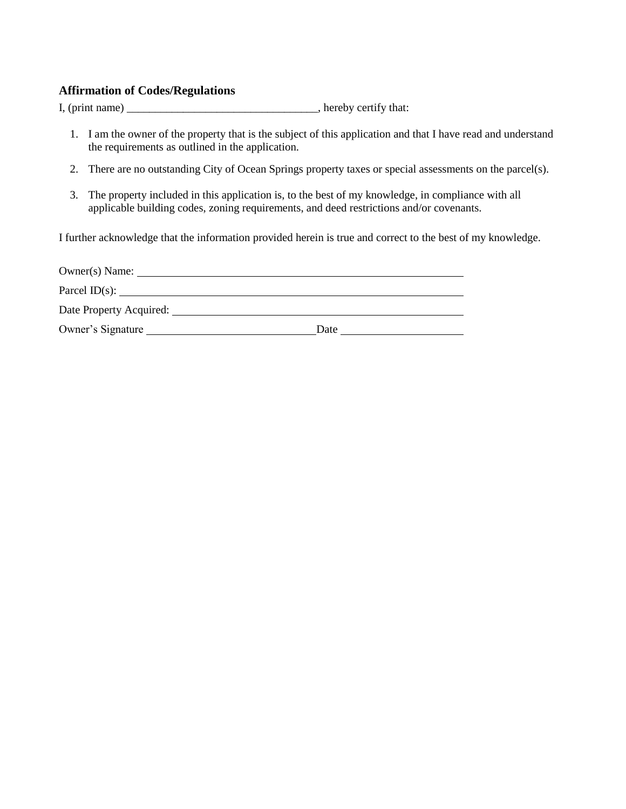## **Affirmation of Codes/Regulations**

I, (print name) hereby certify that:

- 1. I am the owner of the property that is the subject of this application and that I have read and understand the requirements as outlined in the application.
- 2. There are no outstanding City of Ocean Springs property taxes or special assessments on the parcel(s).
- 3. The property included in this application is, to the best of my knowledge, in compliance with all applicable building codes, zoning requirements, and deed restrictions and/or covenants.

I further acknowledge that the information provided herein is true and correct to the best of my knowledge.

| Owner(s) Name:          |      |
|-------------------------|------|
| Parcel ID(s):           |      |
| Date Property Acquired: |      |
| Owner's Signature       | Date |